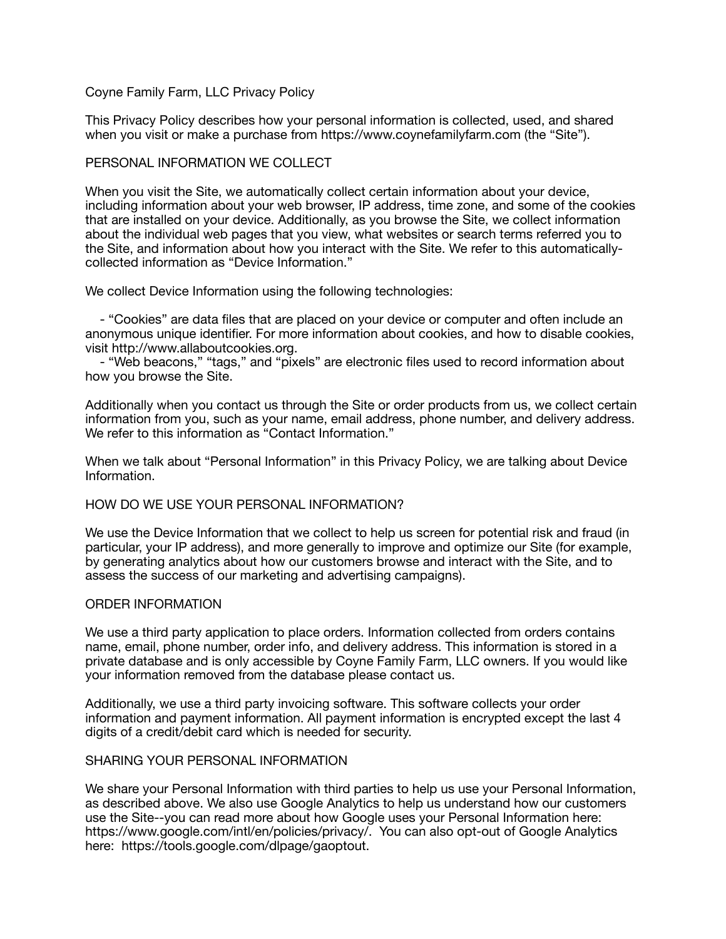# Coyne Family Farm, LLC Privacy Policy

This Privacy Policy describes how your personal information is collected, used, and shared when you visit or make a purchase from https://www.coynefamilyfarm.com (the "Site").

## PERSONAL INFORMATION WE COLLECT

When you visit the Site, we automatically collect certain information about your device, including information about your web browser, IP address, time zone, and some of the cookies that are installed on your device. Additionally, as you browse the Site, we collect information about the individual web pages that you view, what websites or search terms referred you to the Site, and information about how you interact with the Site. We refer to this automaticallycollected information as "Device Information."

We collect Device Information using the following technologies:

 - "Cookies" are data files that are placed on your device or computer and often include an anonymous unique identifier. For more information about cookies, and how to disable cookies, visit http://www.allaboutcookies.org.

 - "Web beacons," "tags," and "pixels" are electronic files used to record information about how you browse the Site.

Additionally when you contact us through the Site or order products from us, we collect certain information from you, such as your name, email address, phone number, and delivery address. We refer to this information as "Contact Information."

When we talk about "Personal Information" in this Privacy Policy, we are talking about Device Information.

#### HOW DO WE USE YOUR PERSONAL INFORMATION?

We use the Device Information that we collect to help us screen for potential risk and fraud (in particular, your IP address), and more generally to improve and optimize our Site (for example, by generating analytics about how our customers browse and interact with the Site, and to assess the success of our marketing and advertising campaigns).

#### ORDER INFORMATION

We use a third party application to place orders. Information collected from orders contains name, email, phone number, order info, and delivery address. This information is stored in a private database and is only accessible by Coyne Family Farm, LLC owners. If you would like your information removed from the database please contact us.

Additionally, we use a third party invoicing software. This software collects your order information and payment information. All payment information is encrypted except the last 4 digits of a credit/debit card which is needed for security.

#### SHARING YOUR PERSONAL INFORMATION

We share your Personal Information with third parties to help us use your Personal Information, as described above. We also use Google Analytics to help us understand how our customers use the Site--you can read more about how Google uses your Personal Information here: https://www.google.com/intl/en/policies/privacy/. You can also opt-out of Google Analytics here: https://tools.google.com/dlpage/gaoptout.